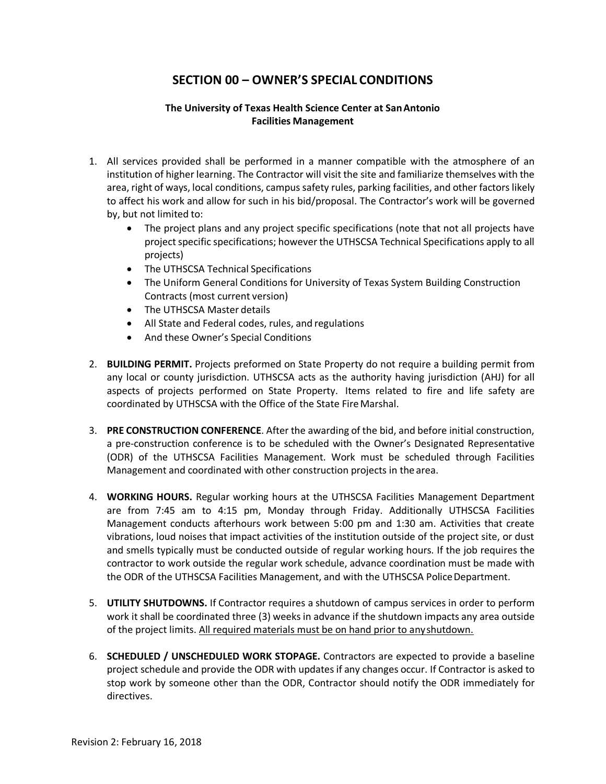## **SECTION 00 – OWNER'S SPECIAL CONDITIONS**

## **The University of Texas Health Science Center at SanAntonio Facilities Management**

- 1. All services provided shall be performed in a manner compatible with the atmosphere of an institution of higher learning. The Contractor will visit the site and familiarize themselves with the area, right of ways, local conditions, campussafety rules, parking facilities, and other factors likely to affect his work and allow for such in his bid/proposal. The Contractor's work will be governed by, but not limited to:
	- The project plans and any project specific specifications (note that not all projects have project specific specifications; however the UTHSCSA Technical Specifications apply to all projects)
	- The UTHSCSA Technical Specifications
	- The Uniform General Conditions for University of Texas System Building Construction Contracts (most current version)
	- The UTHSCSA Master details
	- All State and Federal codes, rules, and regulations
	- And these Owner's Special Conditions
- 2. **BUILDING PERMIT.** Projects preformed on State Property do not require a building permit from any local or county jurisdiction. UTHSCSA acts as the authority having jurisdiction (AHJ) for all aspects of projects performed on State Property. Items related to fire and life safety are coordinated by UTHSCSA with the Office of the State Fire Marshal.
- 3. **PRE CONSTRUCTION CONFERENCE**. After the awarding of the bid, and before initial construction, a pre‐construction conference is to be scheduled with the Owner's Designated Representative (ODR) of the UTHSCSA Facilities Management. Work must be scheduled through Facilities Management and coordinated with other construction projects in the area.
- 4. **WORKING HOURS.** Regular working hours at the UTHSCSA Facilities Management Department are from 7:45 am to 4:15 pm, Monday through Friday. Additionally UTHSCSA Facilities Management conducts afterhours work between 5:00 pm and 1:30 am. Activities that create vibrations, loud noises that impact activities of the institution outside of the project site, or dust and smells typically must be conducted outside of regular working hours. If the job requires the contractor to work outside the regular work schedule, advance coordination must be made with the ODR of the UTHSCSA Facilities Management, and with the UTHSCSA Police Department.
- 5. **UTILITY SHUTDOWNS.** If Contractor requires a shutdown of campus services in order to perform work it shall be coordinated three (3) weeksin advance if the shutdown impacts any area outside of the project limits. All required materials must be on hand prior to anyshutdown.
- 6. **SCHEDULED / UNSCHEDULED WORK STOPAGE.** Contractors are expected to provide a baseline project schedule and provide the ODR with updates if any changes occur. If Contractor is asked to stop work by someone other than the ODR, Contractor should notify the ODR immediately for directives.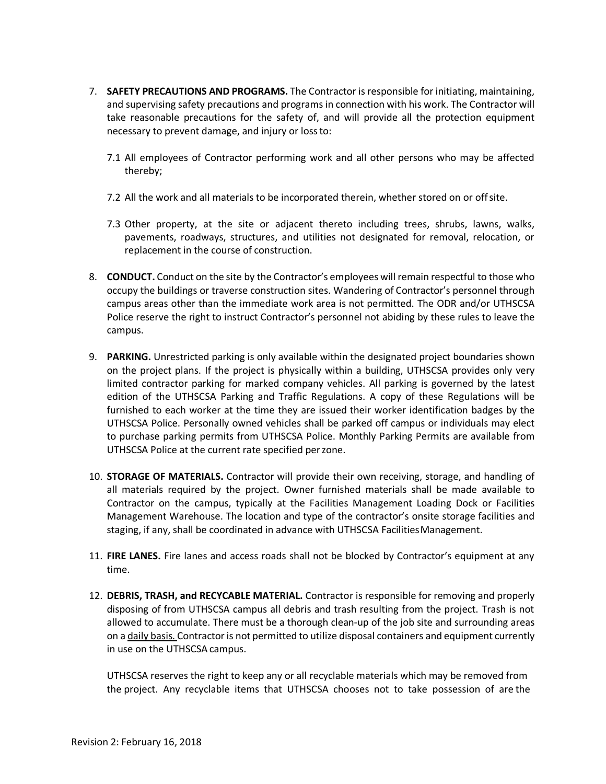- 7. **SAFETY PRECAUTIONS AND PROGRAMS.** The Contractor is responsible for initiating, maintaining, and supervising safety precautions and programs in connection with his work. The Contractor will take reasonable precautions for the safety of, and will provide all the protection equipment necessary to prevent damage, and injury or lossto:
	- 7.1 All employees of Contractor performing work and all other persons who may be affected thereby;
	- 7.2 All the work and all materials to be incorporated therein, whether stored on or offsite.
	- 7.3 Other property, at the site or adjacent thereto including trees, shrubs, lawns, walks, pavements, roadways, structures, and utilities not designated for removal, relocation, or replacement in the course of construction.
- 8. **CONDUCT.** Conduct on the site by the Contractor's employees will remain respectful to those who occupy the buildings or traverse construction sites. Wandering of Contractor's personnel through campus areas other than the immediate work area is not permitted. The ODR and/or UTHSCSA Police reserve the right to instruct Contractor's personnel not abiding by these rules to leave the campus.
- 9. **PARKING.** Unrestricted parking is only available within the designated project boundaries shown on the project plans. If the project is physically within a building, UTHSCSA provides only very limited contractor parking for marked company vehicles. All parking is governed by the latest edition of the UTHSCSA Parking and Traffic Regulations. A copy of these Regulations will be furnished to each worker at the time they are issued their worker identification badges by the UTHSCSA Police. Personally owned vehicles shall be parked off campus or individuals may elect to purchase parking permits from UTHSCSA Police. Monthly Parking Permits are available from UTHSCSA Police at the current rate specified perzone.
- 10. **STORAGE OF MATERIALS.** Contractor will provide their own receiving, storage, and handling of all materials required by the project. Owner furnished materials shall be made available to Contractor on the campus, typically at the Facilities Management Loading Dock or Facilities Management Warehouse. The location and type of the contractor's onsite storage facilities and staging, if any, shall be coordinated in advance with UTHSCSA FacilitiesManagement.
- 11. **FIRE LANES.** Fire lanes and access roads shall not be blocked by Contractor's equipment at any time.
- 12. **DEBRIS, TRASH, and RECYCABLE MATERIAL.** Contractor is responsible for removing and properly disposing of from UTHSCSA campus all debris and trash resulting from the project. Trash is not allowed to accumulate. There must be a thorough clean‐up of the job site and surrounding areas on a daily basis. Contractor is not permitted to utilize disposal containers and equipment currently in use on the UTHSCSA campus.

UTHSCSA reserves the right to keep any or all recyclable materials which may be removed from the project. Any recyclable items that UTHSCSA chooses not to take possession of are the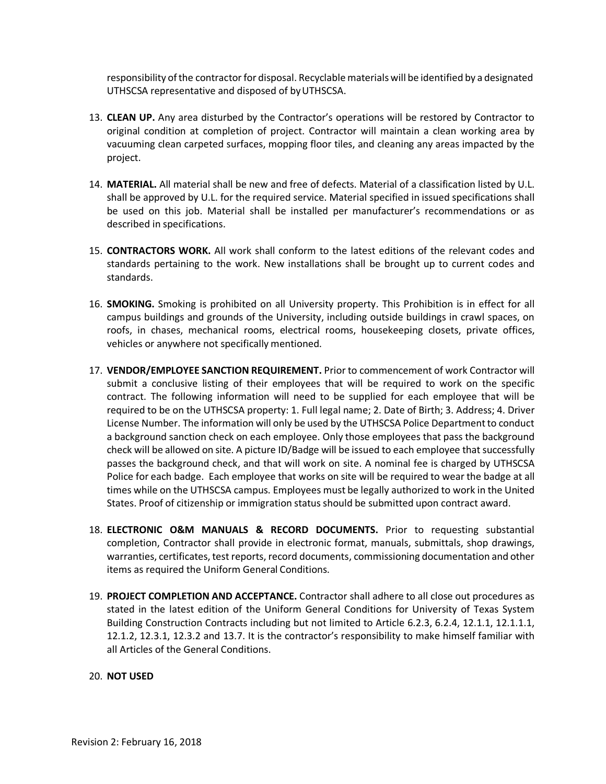responsibility of the contractor for disposal. Recyclable materials will be identified by a designated UTHSCSA representative and disposed of byUTHSCSA.

- 13. **CLEAN UP.** Any area disturbed by the Contractor's operations will be restored by Contractor to original condition at completion of project. Contractor will maintain a clean working area by vacuuming clean carpeted surfaces, mopping floor tiles, and cleaning any areas impacted by the project.
- 14. **MATERIAL.** All material shall be new and free of defects. Material of a classification listed by U.L. shall be approved by U.L. for the required service. Material specified in issued specifications shall be used on this job. Material shall be installed per manufacturer's recommendations or as described in specifications.
- 15. **CONTRACTORS WORK.** All work shall conform to the latest editions of the relevant codes and standards pertaining to the work. New installations shall be brought up to current codes and standards.
- 16. **SMOKING.** Smoking is prohibited on all University property. This Prohibition is in effect for all campus buildings and grounds of the University, including outside buildings in crawl spaces, on roofs, in chases, mechanical rooms, electrical rooms, housekeeping closets, private offices, vehicles or anywhere not specifically mentioned.
- 17. **VENDOR/EMPLOYEE SANCTION REQUIREMENT.** Prior to commencement of work Contractor will submit a conclusive listing of their employees that will be required to work on the specific contract. The following information will need to be supplied for each employee that will be required to be on the UTHSCSA property: 1. Full legal name; 2. Date of Birth; 3. Address; 4. Driver License Number. The information will only be used by the UTHSCSA Police Department to conduct a background sanction check on each employee. Only those employees that pass the background check will be allowed on site. A picture ID/Badge will be issued to each employee that successfully passes the background check, and that will work on site. A nominal fee is charged by UTHSCSA Police for each badge. Each employee that works on site will be required to wear the badge at all times while on the UTHSCSA campus. Employees must be legally authorized to work in the United States. Proof of citizenship or immigration status should be submitted upon contract award.
- 18. **ELECTRONIC O&M MANUALS & RECORD DOCUMENTS.** Prior to requesting substantial completion, Contractor shall provide in electronic format, manuals, submittals, shop drawings, warranties, certificates, test reports, record documents, commissioning documentation and other items as required the Uniform General Conditions.
- 19. **PROJECT COMPLETION AND ACCEPTANCE.** Contractor shall adhere to all close out procedures as stated in the latest edition of the Uniform General Conditions for University of Texas System Building Construction Contracts including but not limited to Article 6.2.3, 6.2.4, 12.1.1, 12.1.1.1, 12.1.2, 12.3.1, 12.3.2 and 13.7. It is the contractor's responsibility to make himself familiar with all Articles of the General Conditions.
- 20. **NOT USED**